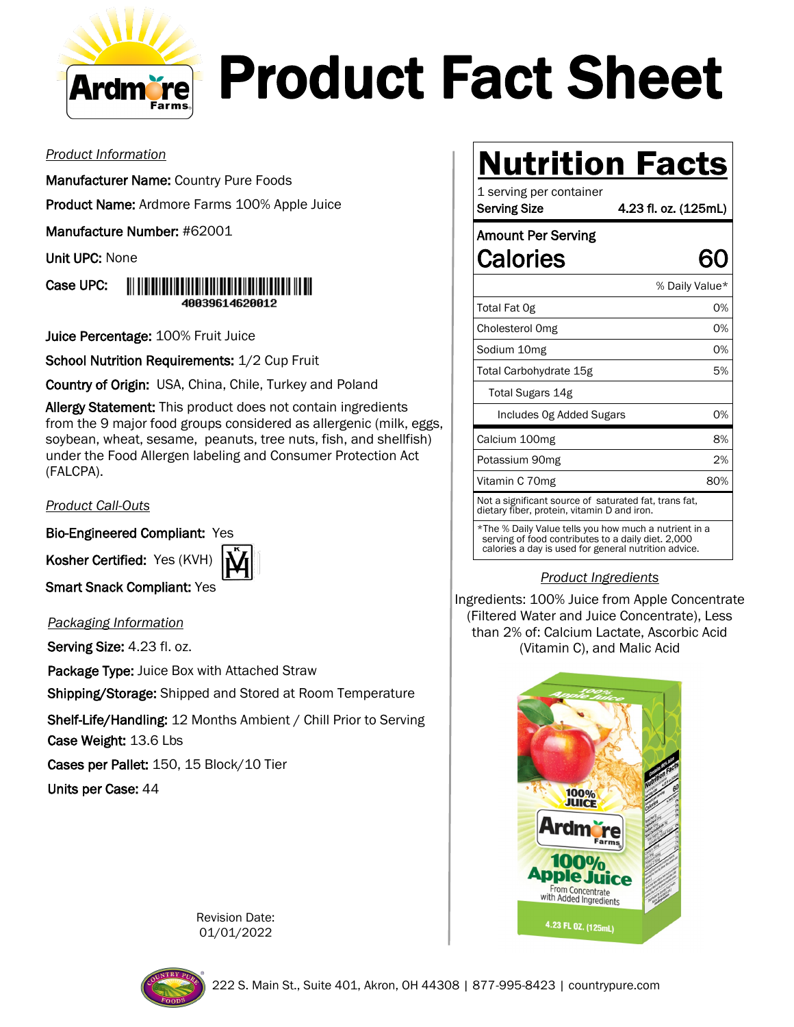

## Product Fact Sheet

*Product Information*

Manufacturer Name: Country Pure Foods

Product Name: Ardmore Farms 100% Apple Juice

Manufacture Number: #62001

Unit UPC: None



Juice Percentage: 100% Fruit Juice

School Nutrition Requirements: 1/2 Cup Fruit

Country of Origin: USA, China, Chile, Turkey and Poland

Allergy Statement: This product does not contain ingredients from the 9 major food groups considered as allergenic (milk, eggs, soybean, wheat, sesame, peanuts, tree nuts, fish, and shellfish) under the Food Allergen labeling and Consumer Protection Act (FALCPA).

*Product Call-Outs*

Bio-Engineered Compliant: Yes

Kosher Certified: Yes (KVH)



Smart Snack Compliant: Yes

*Packaging Information*

Serving Size: 4.23 fl. oz.

Package Type: Juice Box with Attached Straw

Shipping/Storage: Shipped and Stored at Room Temperature

Shelf-Life/Handling: 12 Months Ambient / Chill Prior to Serving Case Weight: 13.6 Lbs

Cases per Pallet: 150, 15 Block/10 Tier

Units per Case: 44

## **Nutrition Facts**

| 1 serving per container<br><b>Serving Size</b>                                                              | 4.23 fl. oz. (125mL) |
|-------------------------------------------------------------------------------------------------------------|----------------------|
| <b>Amount Per Serving</b>                                                                                   |                      |
| Calories                                                                                                    |                      |
|                                                                                                             | % Daily Value*       |
| Total Fat Og                                                                                                | 0%                   |
| Cholesterol Omg                                                                                             | 0%                   |
| Sodium 10mg                                                                                                 | 0%                   |
| Total Carbohydrate 15g                                                                                      | 5%                   |
| Total Sugars 14g                                                                                            |                      |
| Includes Og Added Sugars                                                                                    | 0%                   |
| Calcium 100mg                                                                                               | 8%                   |
| Potassium 90mg                                                                                              | 2%                   |
| Vitamin C 70mg                                                                                              | 80%                  |
| Not a significant source of saturated fat, trans fat,<br>dietary fiber, protein, vitamin D and iron.        |                      |
| *The % Daily Value tells you how much a nutrient in a<br>serving of food contributes to a daily diet. 2,000 |                      |

serving of food contributes to a daily diet. 2,000 calories a day is used for general nutrition advice.

## *Product Ingredients*

Ingredients: 100% Juice from Apple Concentrate (Filtered Water and Juice Concentrate), Less than 2% of: Calcium Lactate, Ascorbic Acid (Vitamin C), and Malic Acid



Revision Date: 01/01/2022